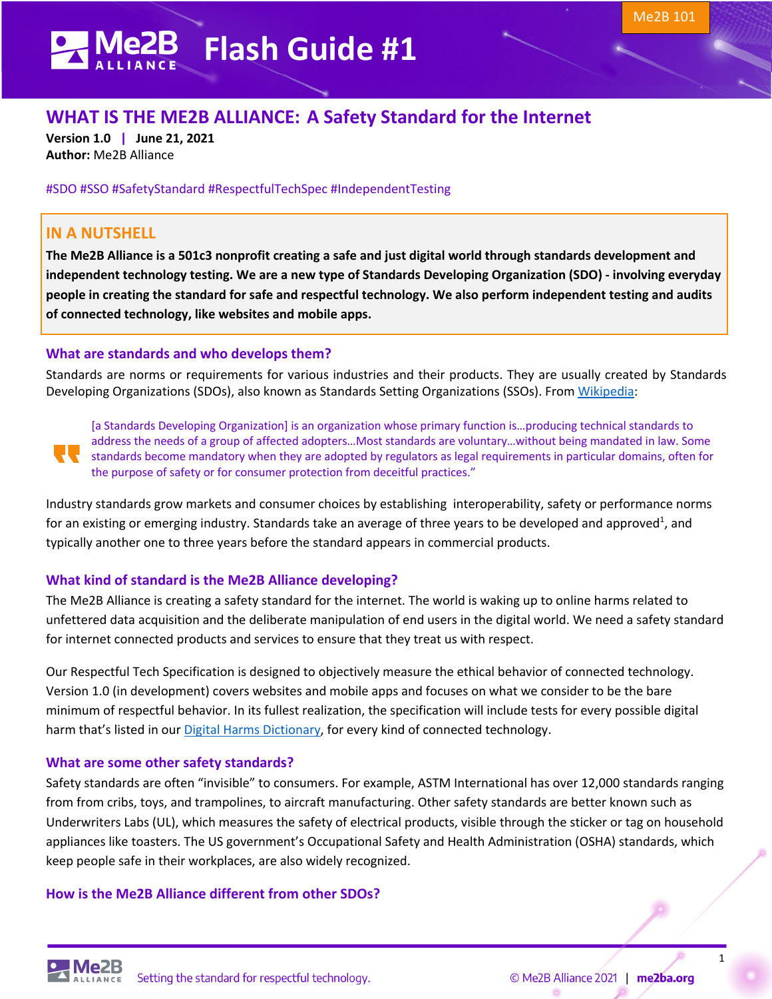# **FLASH GUIDE Flash Guide #1**

# **WHAT IS THE ME2B ALLIANCE: A Safety Standard for the Internet**

**Version 1.0 | June 21, 2021 Author:** Me2B Alliance

#SDO #SSO #SafetyStandard #RespectfulTechSpec #IndependentTesting

# **IN A NUTSHELL**

**The Me2B Alliance is a 501c3 nonprofit creating a safe and just digital world through standards development and independent technology testing. We are a new type of Standards Developing Organization (SDO) - involving everyday people in creating the standard for safe and respectful technology. We also perform independent testing and audits of connected technology, like websites and mobile apps.**

#### **What are standards and who develops them?**

Standards are norms or requirements for various industries and their products. They are usually created by Standards Developing Organizations (SDOs), also known as Standards Setting Organizations (SSOs). From Wikipedia:

[a Standards Developing Organization] is an organization whose primary function is…producing technical standards to address the needs of a group of affected adopters…Most standards are voluntary…without being mandated in law. Some standards become mandatory when they are adopted by regulators as legal requirements in particular domains, often for the purpose of safety or for consumer protection from deceitful practices."

Industry standards grow markets and consumer choices by establishing interoperability, safety or performance norms for an existing or emerging industry. Standards take an average of three years to be developed and approved<sup>1</sup>, and typically another one to three years before the standard appears in commercial products.

## **What kind of standard is the Me2B Alliance developing?**

The Me2B Alliance is creating a safety standard for the internet. The world is waking up to online harms related to unfettered data acquisition and the deliberate manipulation of end users in the digital world. We need a safety standard for internet connected products and services to ensure that they treat us with respect.

Our Respectful Tech Specification is designed to objectively measure the ethical behavior of connected technology. Version 1.0 (in development) covers websites and mobile apps and focuses on what we consider to be the bare minimum of respectful behavior. In its fullest realization, the specification will include tests for every possible digital harm that's listed in our Digital Harms Dictionary, for every kind of connected technology.

## **What are some other safety standards?**

Safety standards are often "invisible" to consumers. For example, ASTM International has over 12,000 standards ranging from from cribs, toys, and trampolines, to aircraft manufacturing. Other safety standards are better known such as Underwriters Labs (UL), which measures the safety of electrical products, visible through the sticker or tag on household appliances like toasters. The US government's Occupational Safety and Health Administration (OSHA) standards, which keep people safe in their workplaces, are also widely recognized.

## **How is the Me2B Alliance different from other SDOs?**

1